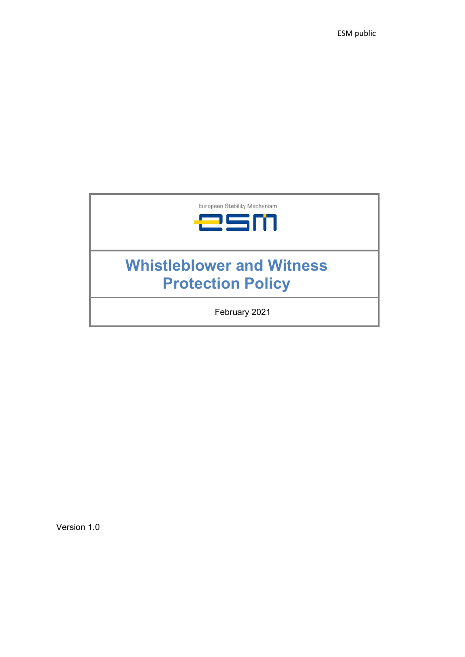ESM public



Version 1.0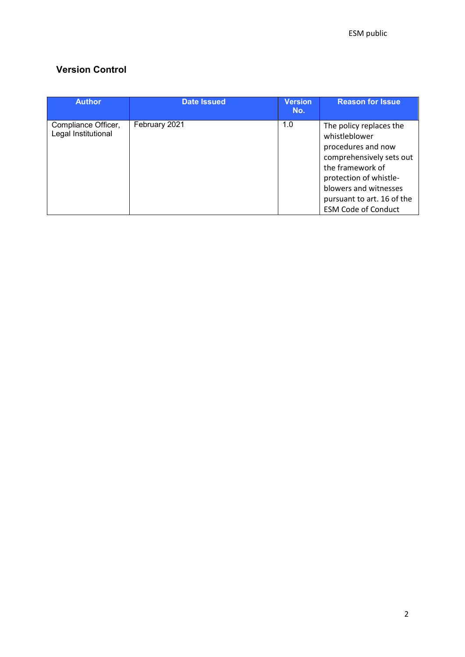# **Version Control**

| <b>Author</b>                              | <b>Date Issued</b> | <b>Version</b><br>No. | <b>Reason for Issue</b>                                                                                                                                                                                                       |
|--------------------------------------------|--------------------|-----------------------|-------------------------------------------------------------------------------------------------------------------------------------------------------------------------------------------------------------------------------|
| Compliance Officer,<br>Legal Institutional | February 2021      | 1.0                   | The policy replaces the<br>whistleblower<br>procedures and now<br>comprehensively sets out<br>the framework of<br>protection of whistle-<br>blowers and witnesses<br>pursuant to art. 16 of the<br><b>ESM Code of Conduct</b> |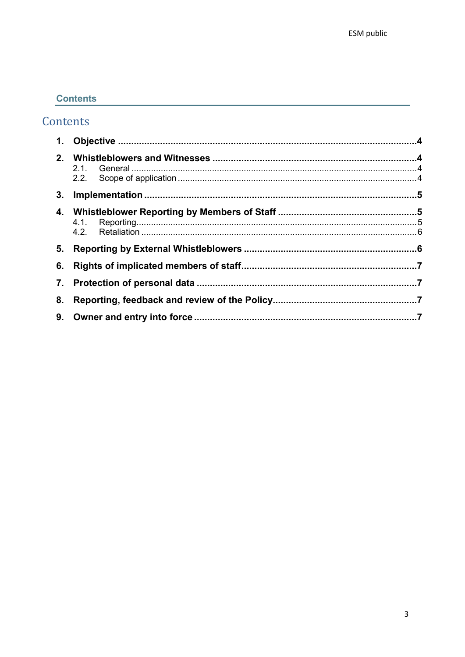# **Contents**

# Contents

| 3. |  |  |
|----|--|--|
|    |  |  |
| 5. |  |  |
| 6. |  |  |
| 7. |  |  |
| 8. |  |  |
|    |  |  |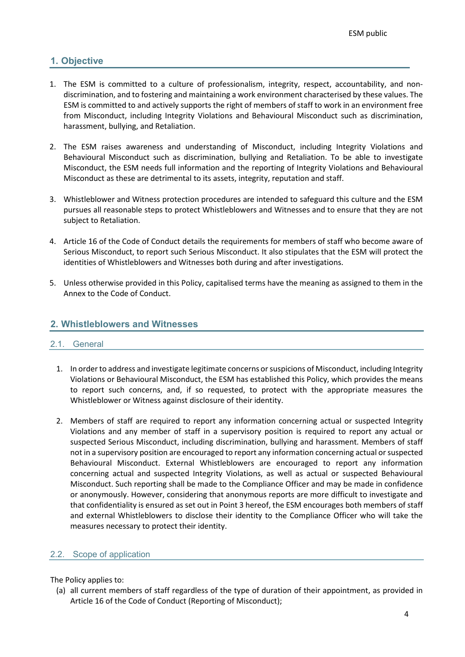### <span id="page-3-0"></span>**1. Objective**

- 1. The ESM is committed to a culture of professionalism, integrity, respect, accountability, and nondiscrimination, and to fostering and maintaining a work environment characterised by these values. The ESM is committed to and actively supports the right of members of staff to work in an environment free from Misconduct, including Integrity Violations and Behavioural Misconduct such as discrimination, harassment, bullying, and Retaliation.
- 2. The ESM raises awareness and understanding of Misconduct, including Integrity Violations and Behavioural Misconduct such as discrimination, bullying and Retaliation. To be able to investigate Misconduct, the ESM needs full information and the reporting of Integrity Violations and Behavioural Misconduct as these are detrimental to its assets, integrity, reputation and staff.
- 3. Whistleblower and Witness protection procedures are intended to safeguard this culture and the ESM pursues all reasonable steps to protect Whistleblowers and Witnesses and to ensure that they are not subject to Retaliation.
- 4. Article 16 of the Code of Conduct details the requirements for members of staff who become aware of Serious Misconduct, to report such Serious Misconduct. It also stipulates that the ESM will protect the identities of Whistleblowers and Witnesses both during and after investigations.
- 5. Unless otherwise provided in this Policy, capitalised terms have the meaning as assigned to them in the Annex to the Code of Conduct.

#### <span id="page-3-1"></span>**2. Whistleblowers and Witnesses**

#### <span id="page-3-2"></span>2.1. General

- 1. In order to address and investigate legitimate concerns or suspicions of Misconduct, including Integrity Violations or Behavioural Misconduct, the ESM has established this Policy, which provides the means to report such concerns, and, if so requested, to protect with the appropriate measures the Whistleblower or Witness against disclosure of their identity.
- 2. Members of staff are required to report any information concerning actual or suspected Integrity Violations and any member of staff in a supervisory position is required to report any actual or suspected Serious Misconduct, including discrimination, bullying and harassment. Members of staff not in a supervisory position are encouraged to report any information concerning actual or suspected Behavioural Misconduct. External Whistleblowers are encouraged to report any information concerning actual and suspected Integrity Violations, as well as actual or suspected Behavioural Misconduct. Such reporting shall be made to the Compliance Officer and may be made in confidence or anonymously. However, considering that anonymous reports are more difficult to investigate and that confidentiality is ensured as set out in Point 3 hereof, the ESM encourages both members of staff and external Whistleblowers to disclose their identity to the Compliance Officer who will take the measures necessary to protect their identity.

#### <span id="page-3-3"></span>2.2. Scope of application

The Policy applies to:

(a) all current members of staff regardless of the type of duration of their appointment, as provided in Article 16 of the Code of Conduct (Reporting of Misconduct);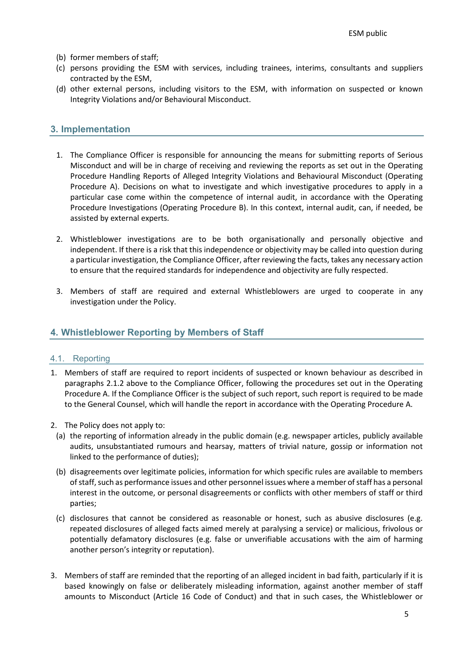- (b) former members of staff;
- (c) persons providing the ESM with services, including trainees, interims, consultants and suppliers contracted by the ESM,
- (d) other external persons, including visitors to the ESM, with information on suspected or known Integrity Violations and/or Behavioural Misconduct.

#### <span id="page-4-0"></span>**3. Implementation**

- 1. The Compliance Officer is responsible for announcing the means for submitting reports of Serious Misconduct and will be in charge of receiving and reviewing the reports as set out in the Operating Procedure Handling Reports of Alleged Integrity Violations and Behavioural Misconduct (Operating Procedure A). Decisions on what to investigate and which investigative procedures to apply in a particular case come within the competence of internal audit, in accordance with the Operating Procedure Investigations (Operating Procedure B). In this context, internal audit, can, if needed, be assisted by external experts.
- 2. Whistleblower investigations are to be both organisationally and personally objective and independent. If there is a risk that this independence or objectivity may be called into question during a particular investigation, the Compliance Officer, after reviewing the facts, takes any necessary action to ensure that the required standards for independence and objectivity are fully respected.
- 3. Members of staff are required and external Whistleblowers are urged to cooperate in any investigation under the Policy.

### <span id="page-4-1"></span>**4. Whistleblower Reporting by Members of Staff**

#### <span id="page-4-2"></span>4.1. Reporting

- 1. Members of staff are required to report incidents of suspected or known behaviour as described in paragraphs 2.1.2 above to the Compliance Officer, following the procedures set out in the Operating Procedure A. If the Compliance Officer is the subject of such report, such report is required to be made to the General Counsel, which will handle the report in accordance with the Operating Procedure A.
- 2. The Policy does not apply to:
	- (a) the reporting of information already in the public domain (e.g. newspaper articles, publicly available audits, unsubstantiated rumours and hearsay, matters of trivial nature, gossip or information not linked to the performance of duties);
	- (b) disagreements over legitimate policies, information for which specific rules are available to members of staff, such as performance issues and other personnel issues where a member of staff has a personal interest in the outcome, or personal disagreements or conflicts with other members of staff or third parties;
	- (c) disclosures that cannot be considered as reasonable or honest, such as abusive disclosures (e.g. repeated disclosures of alleged facts aimed merely at paralysing a service) or malicious, frivolous or potentially defamatory disclosures (e.g. false or unverifiable accusations with the aim of harming another person's integrity or reputation).
- 3. Members of staff are reminded that the reporting of an alleged incident in bad faith, particularly if it is based knowingly on false or deliberately misleading information, against another member of staff amounts to Misconduct (Article 16 Code of Conduct) and that in such cases, the Whistleblower or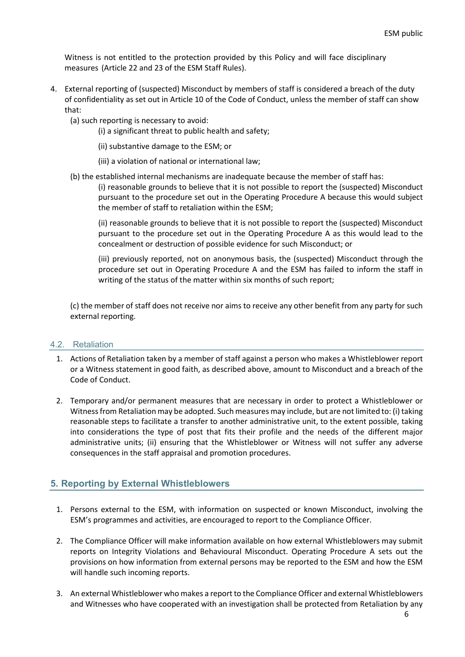Witness is not entitled to the protection provided by this Policy and will face disciplinary measures (Article 22 and 23 of the ESM Staff Rules).

- 4. External reporting of (suspected) Misconduct by members of staff is considered a breach of the duty of confidentiality as set out in Article 10 of the Code of Conduct, unless the member of staff can show that:
	- (a) such reporting is necessary to avoid:
		- (i) a significant threat to public health and safety;
		- (ii) substantive damage to the ESM; or
		- (iii) a violation of national or international law;
	- (b) the established internal mechanisms are inadequate because the member of staff has:

(i) reasonable grounds to believe that it is not possible to report the (suspected) Misconduct pursuant to the procedure set out in the Operating Procedure A because this would subject the member of staff to retaliation within the ESM;

(ii) reasonable grounds to believe that it is not possible to report the (suspected) Misconduct pursuant to the procedure set out in the Operating Procedure A as this would lead to the concealment or destruction of possible evidence for such Misconduct; or

(iii) previously reported, not on anonymous basis, the (suspected) Misconduct through the procedure set out in Operating Procedure A and the ESM has failed to inform the staff in writing of the status of the matter within six months of such report;

(c) the member of staff does not receive nor aims to receive any other benefit from any party for such external reporting.

#### <span id="page-5-0"></span>4.2. Retaliation

- 1. Actions of Retaliation taken by a member of staff against a person who makes a Whistleblower report or a Witness statement in good faith, as described above, amount to Misconduct and a breach of the Code of Conduct.
- 2. Temporary and/or permanent measures that are necessary in order to protect a Whistleblower or Witness from Retaliation may be adopted. Such measures may include, but are not limited to: (i) taking reasonable steps to facilitate a transfer to another administrative unit, to the extent possible, taking into considerations the type of post that fits their profile and the needs of the different major administrative units; (ii) ensuring that the Whistleblower or Witness will not suffer any adverse consequences in the staff appraisal and promotion procedures.

### <span id="page-5-1"></span>**5. Reporting by External Whistleblowers**

- 1. Persons external to the ESM, with information on suspected or known Misconduct, involving the ESM's programmes and activities, are encouraged to report to the Compliance Officer.
- 2. The Compliance Officer will make information available on how external Whistleblowers may submit reports on Integrity Violations and Behavioural Misconduct. Operating Procedure A sets out the provisions on how information from external persons may be reported to the ESM and how the ESM will handle such incoming reports.
- 3. An external Whistleblower who makes a report to the Compliance Officer and external Whistleblowers and Witnesses who have cooperated with an investigation shall be protected from Retaliation by any